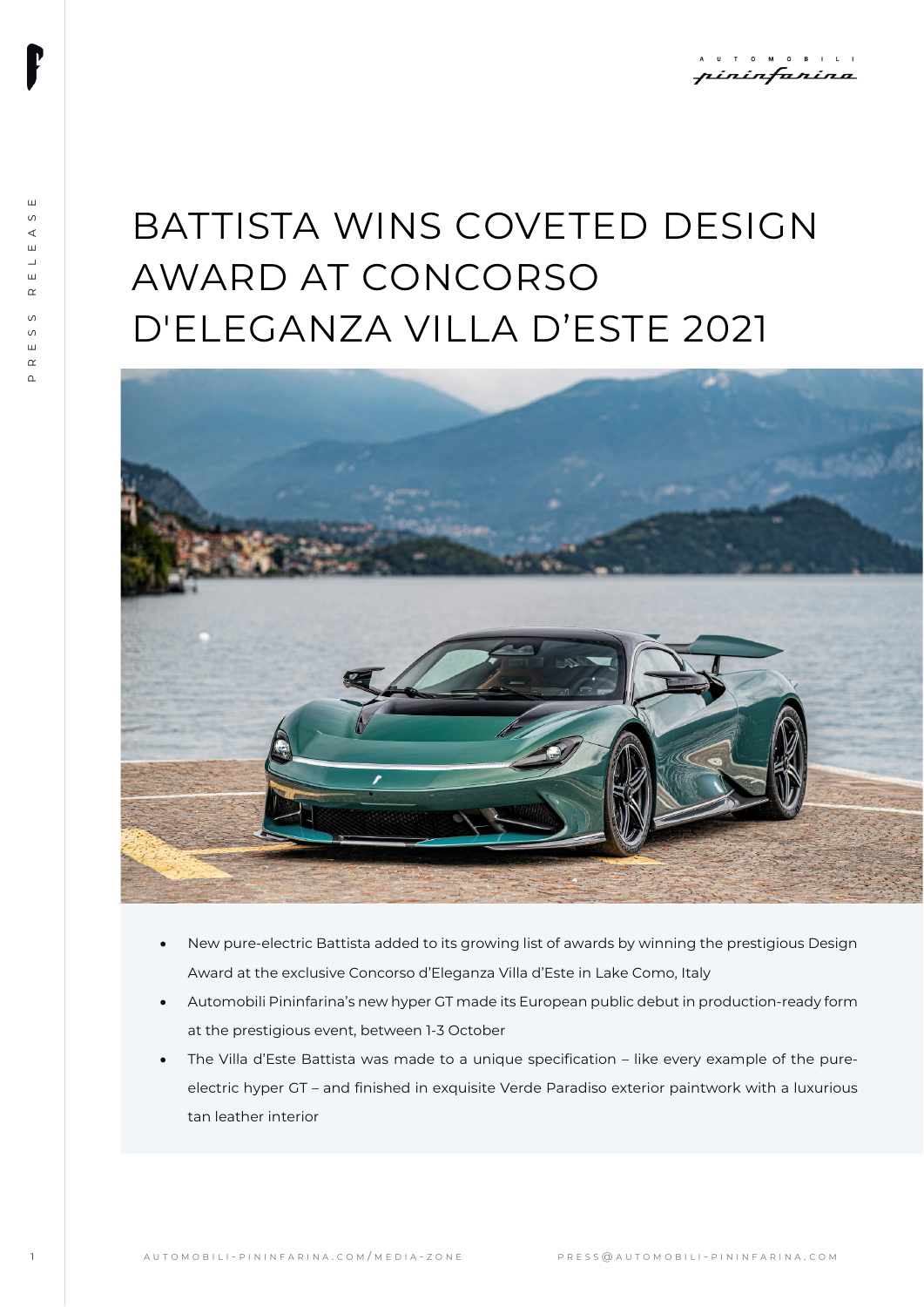# BATTISTA WINS COVETED DESIGN AWARD AT CONCORSO D'ELEGANZA VILLA D'ESTE 2021



- New pure-electric Battista added to its growing list of awards by winning the prestigious Design Award at the exclusive Concorso d'Eleganza Villa d'Este in Lake Como, Italy
- Automobili Pininfarina's new hyper GT made its European public debut in production-ready form at the prestigious event, between 1-3 October
- The Villa d'Este Battista was made to a unique specification like every example of the pureelectric hyper GT – and finished in exquisite Verde Paradiso exterior paintwork with a luxurious tan leather interior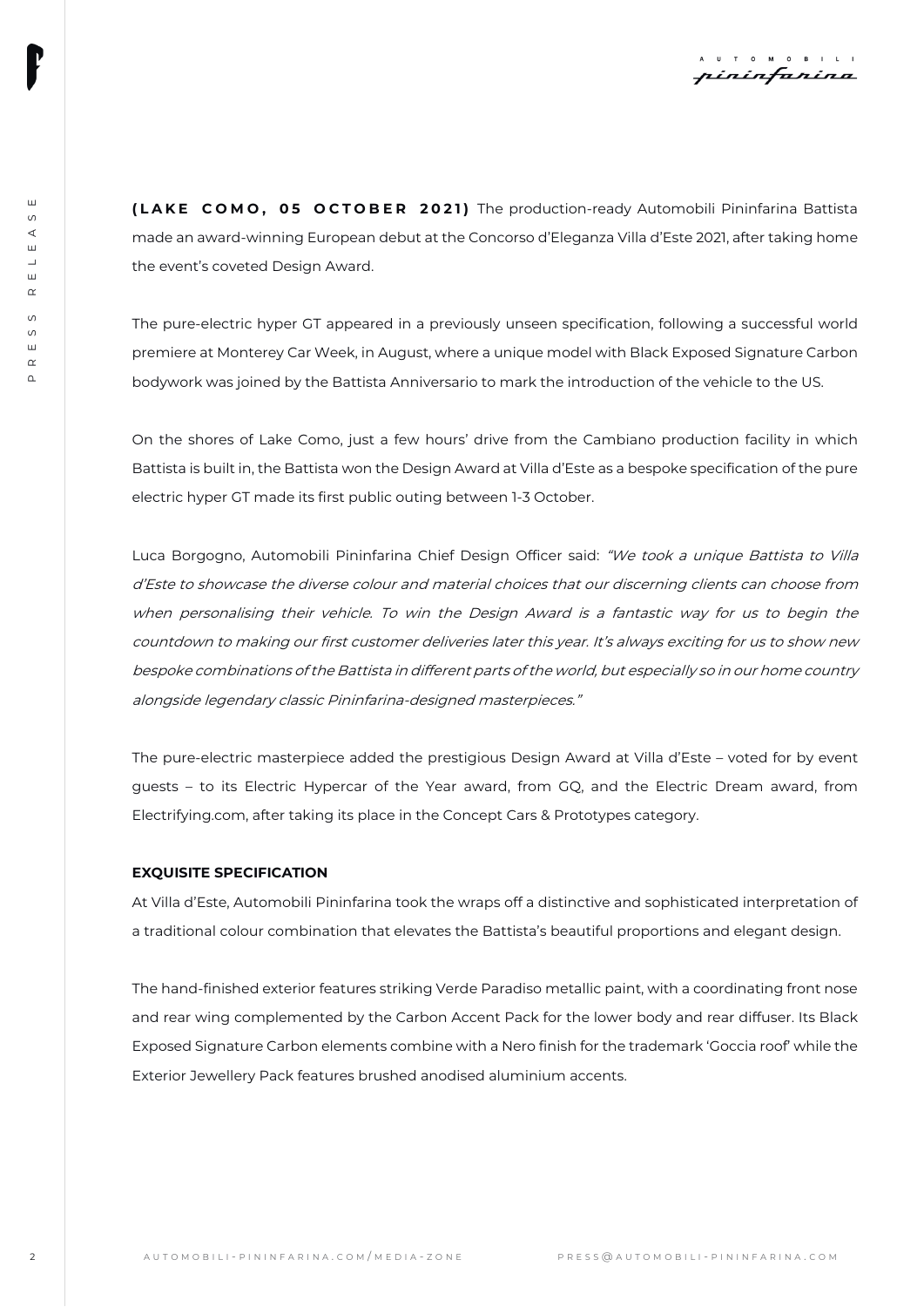**( LAKE COMO , 0 5 OCTOBER 202 1 )** The production-ready Automobili Pininfarina Battista made an award-winning European debut at the Concorso d'Eleganza Villa d'Este 2021, after taking home the event's coveted Design Award.

The pure-electric hyper GT appeared in a previously unseen specification, following a successful world premiere at Monterey Car Week, in August, where a unique model with Black Exposed Signature Carbon bodywork was joined by the Battista Anniversario to mark the introduction of the vehicle to the US.

On the shores of Lake Como, just a few hours' drive from the Cambiano production facility in which Battista is built in, the Battista won the Design Award at Villa d'Este as a bespoke specification of the pure electric hyper GT made its first public outing between 1-3 October.

(LAKE COMMO, 69 CONDER 2011) The protocol of the protocol of the box oscillation and the protocol of the state of the state of the state of the state of the state of the state of the state of the state of the state of the Luca Borgogno, Automobili Pininfarina Chief Design Officer said: "We took a unique Battista to Villa d'Este to showcase the diverse colour and material choices that our discerning clients can choose from when personalising their vehicle. To win the Design Award is a fantastic way for us to begin the countdown to making our first customer deliveries later this year. It's always exciting for us to show new bespoke combinations of the Battista in different parts of the world, but especially so in our home country alongside legendary classic Pininfarina-designed masterpieces."

The pure-electric masterpiece added the prestigious Design Award at Villa d'Este – voted for by event guests – to its Electric Hypercar of the Year award, from GQ, and the Electric Dream award, from Electrifying.com, after taking its place in the Concept Cars & Prototypes category.

## **EXQUISITE SPECIFICATION**

At Villa d'Este, Automobili Pininfarina took the wraps off a distinctive and sophisticated interpretation of a traditional colour combination that elevates the Battista's beautiful proportions and elegant design.

The hand-finished exterior features striking Verde Paradiso metallic paint, with a coordinating front nose and rear wing complemented by the Carbon Accent Pack for the lower body and rear diffuser. Its Black Exposed Signature Carbon elements combine with a Nero finish for the trademark 'Goccia roof' while the Exterior Jewellery Pack features brushed anodised aluminium accents.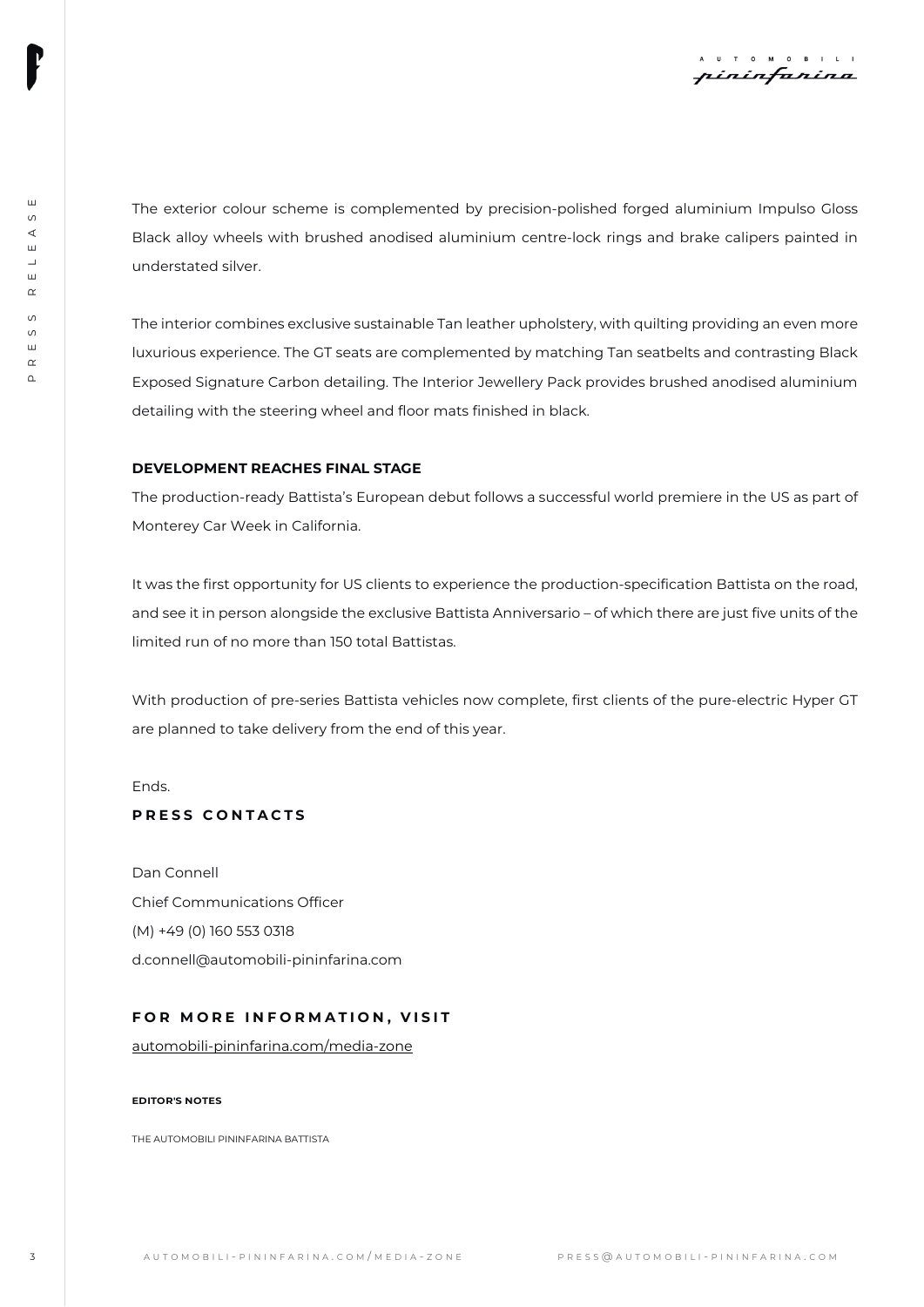The exterior colour scheme is complemented by precision-polished forged aluminium Impulso Gloss Black alloy wheels with brushed anodised aluminium centre-lock rings and brake calipers painted in understated silver.

The automation color is experimented to the complete the procedure of the system with the properties of the system of the system of the system of the system of the system of the system of the system of the system of the s The interior combines exclusive sustainable Tan leather upholstery, with quilting providing an even more luxurious experience. The GT seats are complemented by matching Tan seatbelts and contrasting Black Exposed Signature Carbon detailing. The Interior Jewellery Pack provides brushed anodised aluminium detailing with the steering wheel and floor mats finished in black.

## **DEVELOPMENT REACHES FINAL STAGE**

The production-ready Battista's European debut follows a successful world premiere in the US as part of Monterey Car Week in California.

It was the first opportunity for US clients to experience the production-specification Battista on the road, and see it in person alongside the exclusive Battista Anniversario – of which there are just five units of the limited run of no more than 150 total Battistas.

With production of pre-series Battista vehicles now complete, first clients of the pure-electric Hyper GT are planned to take delivery from the end of this year.

Ends.

## **PRESS CONTACTS**

Dan Connell Chief Communications Officer (M) +49 (0) 160 553 0318 d.connell@automobili-pininfarina.com

### **FOR MORE INFORMATION, VISIT**

[automobili-pininfarina.com/media-zone](https://www.automobili-pininfarina.com/media-zone)

#### **EDITOR'S NOTES**

THE AUTOMOBILL PININFARINA BATTISTA